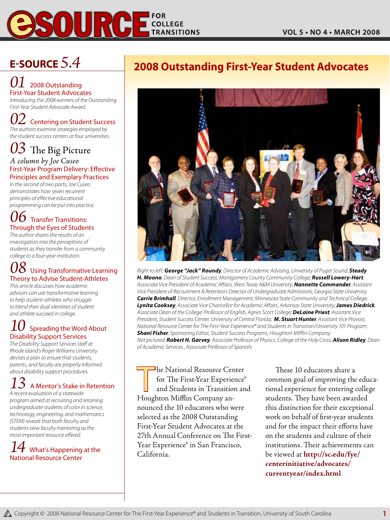

### *01* 2008 Outstanding First-Year Student Advocates

*Introducing the 2008 winners of the Outstanding First-Year Student Advocate Award.*

 $0\angle$  Centering on Student Success *The authors examine strategies employed by the student success centers at four universities.* 

*03* The Big Picture

*A column by Joe Cuseo* First-Year Program Delivery: Effective Principles and Exemplary Practices

*In the second of two parts, Joe Cuseo demonstrates how seven recurrent principles of effective educational programming can be put into practice.* 

### $\bm{b}$  Transfer Transitions: Through the Eyes of Students

*The author shares the results of an investigation into the perceptions of students as they transfer from a community college to a four-year institution.* 

### **Using Transformative Learning** Theory to Advise Student-Athletes

*This article discusses how academic advisors can use transformative learning to help student-athletes who struggle to blend their dual identities of student and athlete succeed in college.* 

### **Spreading the Word About** Disability Support Services

*The Disability Support Services staff at Rhode Island's Roger Williams University devises a plan to ensure that students, parents, and faculty are properly informed about disability support procedures.*

# $13\,$  A Mentor's Stake in Retention

*A recent evaluation of a statewide program aimed at recruiting and retaining undergraduate students of color in science, technology, engineering, and mathematics (STEM) reveals that both faculty and students view faculty mentoring as the most important resource offered.*

### *What's Happening at the* National Resource Center

## **E-Source** *5.4* **2008 Outstanding First-Year Student Advocates**



*Right to left: George "Jack" Roundy, Director of Academic Advising, University of Puget Sound; Steady H. Moono, Dean of Student Success, Montgomery County Community College; Russell Lowery-Hart, Associate Vice President of Academic Affairs, West Texas A&M University; Nannette Commander, Assistant Vice President of Recruitment & Retention; Director of Undergraduate Admissions, Georgia State University; Carrie Brimhall, Director, Enrollment Management, Minnesota State Community and Technical College; Lynita Cooksey, Associate Vice Chancellor for Academic Affairs, Arkansas State University; James Diedrick, Associate Dean of the College; Professor of English, Agnes Scott College; DeLaine Priest, Assistant Vice President, Student Success Center, University of Central Florida; M. Stuart Hunter, Assistant Vice Provost, National Resource Center for The First-Year Experience® and Students in Transition/University 101 Program; Shani Fisher, Sponsoring Editor, Student Success Programs, Houghton Mifflin Company; Not pictured: Robert H. Garvey, Associate Professor of Physics, College of the Holy Cross; Alison Ridley, Dean of Academic Services , Associate Professor of Spanish;* 

The National Resource Center for The First-Year Experience® and Students in Transition and Houghton Mifflin Company announced the 10 educators who were selected as the 2008 Outstanding First-Year Student Advocates at the 27th Annual Conference on The First-Year Experience® in San Francisco, California.

These 10 educators share a common goal of improving the educational experience for entering college students. They have been awarded this distinction for their exceptional work on behalf of first-year students and for the impact their efforts have on the students and culture of their institutions. Their achievements can be viewed at **http://sc.edu/fye/ centerinitiative/advocates/ currentyear/index.html**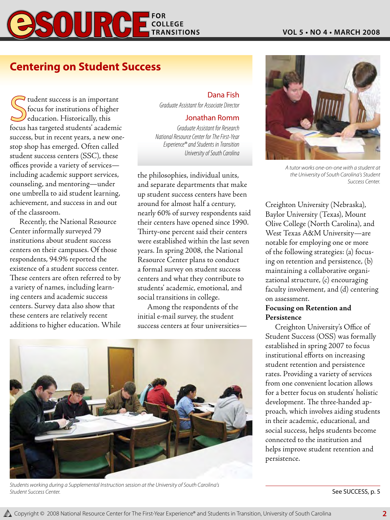

### **Centering on Student Success**

Sudent success is an important<br>Socus for institutions of higher<br>ducation. Historically, this<br>focus has targeted students' academic I tudent success is an important focus for institutions of higher education. Historically, this success, but in recent years, a new onestop shop has emerged. Often called student success centers (SSC), these offices provide a variety of services including academic support services, counseling, and mentoring—under one umbrella to aid student learning, achievement, and success in and out of the classroom.

Recently, the National Resource Center informally surveyed 79 institutions about student success centers on their campuses. Of those respondents, 94.9% reported the existence of a student success center. These centers are often referred to by a variety of names, including learning centers and academic success centers. Survey data also show that these centers are relatively recent additions to higher education. While

### Dana Fish

*Graduate Assistant for Associate Director*

### Jonathan Romm

*Graduate Assistant for Research National Resource Center for The First-Year Experience® and Students in Transition University of South Carolina*

the philosophies, individual units, and separate departments that make up student success centers have been around for almost half a century, nearly 60% of survey respondents said their centers have opened since 1990. Thirty-one percent said their centers were established within the last seven years. In spring 2008, the National Resource Center plans to conduct a formal survey on student success centers and what they contribute to students' academic, emotional, and social transitions in college.

Among the respondents of the initial e-mail survey, the student success centers at four universities—



*Students working during a Supplemental Instruction session at the University of South Carolina's*  **Student Success Center.** Subset of the Success Center. See SUCCESS, p. 5



*A tutor works one-on-one with a student at the University of South Carolina's Student Success Center.*

Creighton University (Nebraska), Baylor University (Texas), Mount Olive College (North Carolina), and West Texas A&M University—are notable for employing one or more of the following strategies: (a) focusing on retention and persistence, (b) maintaining a collaborative organizational structure, (c) encouraging faculty involvement, and (d) centering on assessment.

### **Focusing on Retention and Persistence**

Creighton University's Office of Student Success (OSS) was formally established in spring 2007 to focus institutional efforts on increasing student retention and persistence rates. Providing a variety of services from one convenient location allows for a better focus on students' holistic development. The three-handed approach, which involves aiding students in their academic, educational, and social success, helps students become connected to the institution and helps improve student retention and persistence.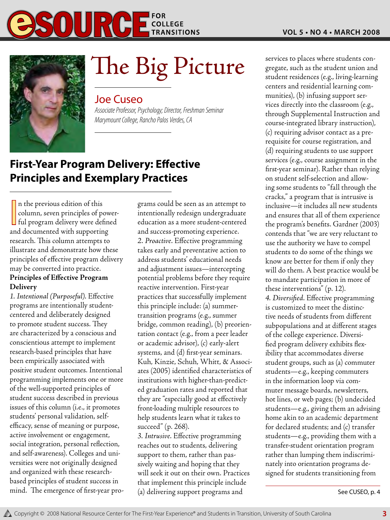



# The Big Picture students con-<br>student such as the student union and<br>student residences (e.g., living-learning

### Joe Cuseo

*Associate Professor, Psychology; Director, Freshman Seminar Marymount College, Rancho Palos Verdes, CA*

### **First-Year Program Delivery: Effective Principles and Exemplary Practices**

In the previous edition of this<br>column, seven principles of power-<br>ful program delivery were defined<br>and documented with supporting n the previous edition of this column, seven principles of powerand documented with supporting research. This column attempts to illustrate and demonstrate how these principles of effective program delivery may be converted into practice. **Principles of Effective Program** 

## **Delivery**

*1. Intentional (Purposeful).* Effective programs are intentionally studentcentered and deliberately designed to promote student success. They are characterized by a conscious and conscientious attempt to implement research-based principles that have been empirically associated with positive student outcomes. Intentional programming implements one or more of the well-supported principles of student success described in previous issues of this column (i.e., it promotes students' personal validation, selfefficacy, sense of meaning or purpose, active involvement or engagement, social integration, personal reflection, and self-awareness). Colleges and universities were not originally designed and organized with these researchbased principles of student success in mind. The emergence of first-year programs could be seen as an attempt to intentionally redesign undergraduate education as a more student-centered and success-promoting experience. *2. Proactive.* Effective programming takes early and preventative action to address students' educational needs and adjustment issues—intercepting potential problems before they require reactive intervention. First-year practices that successfully implement this principle include: (a) summertransition programs (e.g., summer bridge, common reading), (b) preorientation contact (e.g., from a peer leader or academic advisor), (c) early-alert systems, and (d) first-year seminars. Kuh, Kinzie, Schuh, Whitt, & Associates (2005) identified characteristics of institutions with higher-than-predicted graduation rates and reported that they are "especially good at effectively front-loading multiple resources to help students learn what it takes to succeed" (p. 268).

*3. Intrusive.* Effective programming reaches out to students, delivering support to them, rather than passively waiting and hoping that they will seek it out on their own. Practices that implement this principle include (a) delivering support programs and

gregate, such as the student union and student residences (e.g., living-learning centers and residential learning communities), (b) infusing support services directly into the classroom (e.g., through Supplemental Instruction and course-integrated library instruction), (c) requiring advisor contact as a prerequisite for course registration, and (d) requiring students to use support services (e.g., course assignment in the first-year seminar). Rather than relying on student self-selection and allowing some students to "fall through the cracks," a program that is intrusive is inclusive—it includes all new students and ensures that all of them experience the program's benefits. Gardner (2003) contends that "we are very reluctant to use the authority we have to compel students to do some of the things we know are better for them if only they will do them. A best practice would be to mandate participation in more of these interventions" (p. 12). *4. Diversified.* Effective programming is customized to meet the distinctive needs of students from different subpopulations and at different stages of the college experience. Diversified program delivery exhibits flexibility that accommodates diverse student groups, such as (a) commuter students—e.g., keeping commuters in the information loop via commuter message boards, newsletters, hot lines, or web pages; (b) undecided students—e.g., giving them an advising home akin to an academic department for declared students; and (c) transfer students—e.g., providing them with a transfer-student orientation program rather than lumping them indiscriminately into orientation programs designed for students transitioning from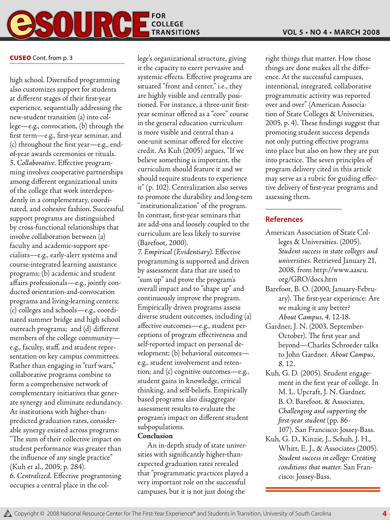

### **CUSEO** Cont. from p. 3

high school. Diversified programming also customizes support for students at different stages of their first-year experience, sequentially addressing the new-student transition (a) into college—e.g., convocation, (b) through the first term—e.g., first-year seminar, and (c) throughout the first year—e.g., endof-year awards ceremonies or rituals. *5. Collaborative.* Effective programming involves cooperative partnerships among different organizational units of the college that work interdependently in a complementary, coordinated, and cohesive fashion. Successful support programs are distinguished by cross-functional relationships that involve collaboration between (a) faculty and academic-support specialists—e.g., early-alert systems and course-integrated learning assistance programs; (b) academic and student affairs professionals—e.g., jointly conducted orientation-and-convocation programs and living-learning centers; (c) colleges and schools—e.g., coordinated summer bridge and high school outreach programs; and (d) different members of the college community e.g., faculty, staff, and student representation on key campus committees. Rather than engaging in "turf wars," collaborative programs combine to form a comprehensive network of complementary initiatives that generate synergy and eliminate redundancy. At institutions with higher-thanpredicted graduation rates, considerable synergy existed across programs: "The sum of their collective impact on student performance was greater than the influence of any single practice" (Kuh et al., 2005, p. 284). *6. Centralized.* Effective programming occupies a central place in the college's organizational structure, giving it the capacity to exert pervasive and systemic effects. Effective programs are situated "front and center," i.e., they are highly visible and centrally positioned. For instance, a three-unit firstyear seminar offered as a "core" course in the general education curriculum is more visible and central than a one-unit seminar offered for elective credit. As Kuh (2005) argues, "If we believe something is important, the curriculum should feature it and we should require students to experience it" (p. 102). Centralization also serves to promote the durability and long-tem "institutionalization" of the program. In contrast, first-year seminars that are add-ons and loosely coupled to the curriculum are less likely to survive (Barefoot, 2000).

*7. Empirical (Evidentiary).* Effective programming is supported and driven by assessment data that are used to "sum up" and prove the program's overall impact and to "shape up" and continuously improve the program. Empirically driven programs assess diverse student outcomes, including (a) affective outcomes—e.g., student perceptions of program effectiveness and self-reported impact on personal development; (b) behavioral outcomes e.g., student involvement and retention; and (c) cognitive outcomes—e.g., student gains in knowledge, critical thinking, and self-beliefs. Empirically based programs also disaggregate assessment results to evaluate the program's impact on different student subpopulations.

### **Conclusion**

An in-depth study of state universities with significantly higher-thanexpected graduation rates revealed that "programmatic practices played a very important role on the successful campuses, but it is not just doing the

right things that matter. How those things are done makes all the difference. At the successful campuses, intentional, integrated, collaborative programmatic activity was reported over and over" (American Association of State Colleges & Universities, 2005, p. 4). These findings suggest that promoting student success depends not only putting effective programs into place but also on how they are put into practice. The seven principles of program delivery cited in this article may serve as a rubric for guiding effective delivery of first-year programs and assessing them.

### **References**

- American Association of State Colleges & Universities. (2005). *Student success in state colleges and universities*. Retrieved January 21, 2008, from http://www.aascu. org/GRO/docs.htm
- Barefoot, B. O. (2000, January-February). The first-year experience: Are we making it any better? *About Campus*, *4*, 12-18.
- Gardner, J. N. (2003, September-October). The first year and beyond—Charles Schroeder talks to John Gardner. *About Campus*, *8*, 12.
- Kuh, G. D. (2005). Student engagement in the first year of college. In M. L. Upcraft, J. N. Gardner, B. O. Barefoot, & Associates, *Challenging and supporting the first-year student* (pp. 86- 107). San Francisco: Jossey-Bass.
- Kuh, G. D., Kinzie, J., Schuh, J. H., Whitt, E. J., & Associates (2005). *Student success in college: Creating conditions that matter*. San Francisco: Jossey-Bass.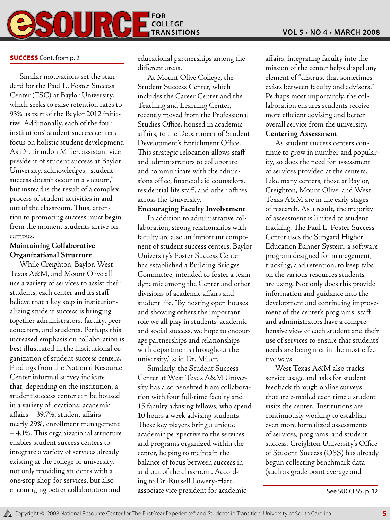

### **SUCCESS** Cont. from p. 2

Similar motivations set the standard for the Paul L. Foster Success Center (FSC) at Baylor University, which seeks to raise retention rates to 93% as part of the Baylor 2012 initiative. Additionally, each of the four institutions' student success centers focus on holistic student development. As Dr. Brandon Miller, assistant vice president of student success at Baylor University, acknowledges, "student success doesn't occur in a vacuum," but instead is the result of a complex process of student activities in and out of the classroom. Thus, attention to promoting success must begin from the moment students arrive on campus.

### **Maintaining Collaborative Organizational Structure**

While Creighton, Baylor, West Texas A&M, and Mount Olive all use a variety of services to assist their students, each center and its staff believe that a key step in institutionalizing student success is bringing together administrators, faculty, peer educators, and students. Perhaps this increased emphasis on collaboration is best illustrated in the institutional organization of student success centers. Findings from the National Resource Center informal survey indicate that, depending on the institution, a student success center can be housed in a variety of locations: academic affairs – 39.7%, student affairs – nearly 29%, enrollment management – 4.1%. This organizational structure enables student success centers to integrate a variety of services already existing at the college or university, not only providing students with a one-stop shop for services, but also encouraging better collaboration and associate vice president for academic state of the Success, p. 12

educational partnerships among the different areas.

At Mount Olive College, the Student Success Center, which includes the Career Center and the Teaching and Learning Center, recently moved from the Professional Studies Office, housed in academic affairs, to the Department of Student Development's Enrichment Office. This strategic relocation allows staff and administrators to collaborate and communicate with the admissions office, financial aid counselors, residential life staff, and other offices across the University.

### **Encouraging Faculty Involvement**

In addition to administrative collaboration, strong relationships with faculty are also an important component of student success centers. Baylor University's Foster Success Center has established a Building Bridges Committee, intended to foster a team dynamic among the Center and other divisions of academic affairs and student life. "By hosting open houses and showing others the important role we all play in students' academic and social success, we hope to encourage partnerships and relationships with departments throughout the university," said Dr. Miller.

Similarly, the Student Success Center at West Texas A&M University has also benefited from collaboration with four full-time faculty and 15 faculty advising fellows, who spend 10 hours a week advising students. These key players bring a unique academic perspective to the services and programs organized within the center, helping to maintain the balance of focus between success in and out of the classroom. According to Dr. Russell Lowery-Hart, associate vice president for academic

affairs, integrating faculty into the mission of the center helps dispel any element of "distrust that sometimes exists between faculty and advisors." Perhaps most importantly, the collaboration ensures students receive more efficient advising and better overall service from the university.

### **Centering Assessment**

As student success centers continue to grow in number and popularity, so does the need for assessment of services provided at the centers. Like many centers, those at Baylor, Creighton, Mount Olive, and West Texas A&M are in the early stages of research. As a result, the majority of assessment is limited to student tracking. The Paul L. Foster Success Center uses the Sungard Higher Education Banner System, a software program designed for management, tracking, and retention, to keep tabs on the various resources students are using. Not only does this provide information and guidance into the development and continuing improvement of the center's programs, staff and administrators have a comprehensive view of each student and their use of services to ensure that students' needs are being met in the most effective ways.

West Texas A&M also tracks service usage and asks for student feedback through online surveys that are e-mailed each time a student visits the center. Institutions are continuously working to establish even more formalized assessments of services, programs, and student success. Creighton University's Office of Student Success (OSS) has already begun collecting benchmark data (such as grade point average and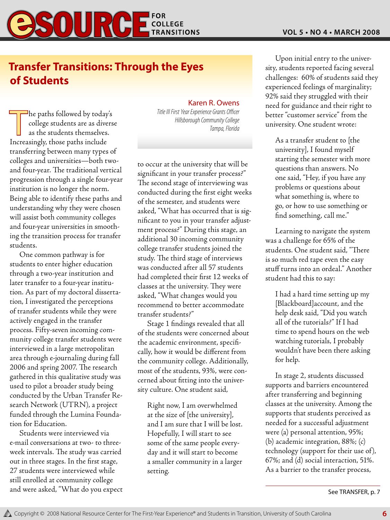

### **Transfer Transitions: Through the Eyes of Students**

Title III First Year Experience Grants Officer<br>
college students are as diverse<br>
as the students themselves.<br>
Increasingly those paths include <sup>1</sup>he paths followed by today's college students are as diverse as the students themselves. Increasingly, those paths include transferring between many types of colleges and universities—both twoand four-year. The traditional vertical progression through a single four-year institution is no longer the norm. Being able to identify these paths and understanding why they were chosen will assist both community colleges and four-year universities in smoothing the transition process for transfer students.

One common pathway is for students to enter higher education through a two-year institution and later transfer to a four-year institution. As part of my doctoral dissertation, I investigated the perceptions of transfer students while they were actively engaged in the transfer process. Fifty-seven incoming community college transfer students were interviewed in a large metropolitan area through e-journaling during fall 2006 and spring 2007. The research gathered in this qualitative study was used to pilot a broader study being conducted by the Urban Transfer Research Network (UTRN), a project funded through the Lumina Foundation for Education.

Students were interviewed via e-mail conversations at two- to threeweek intervals. The study was carried out in three stages. In the first stage, 27 students were interviewed while still enrolled at community college and were asked, "What do you expect

### Karen R. Owens

*Title III First Year Experience Grants Officer*

to occur at the university that will be significant in your transfer process?" The second stage of interviewing was conducted during the first eight weeks of the semester, and students were asked, "What has occurred that is significant to you in your transfer adjustment process?" During this stage, an additional 30 incoming community college transfer students joined the study. The third stage of interviews was conducted after all 57 students had completed their first 12 weeks of classes at the university. They were asked, "What changes would you recommend to better accommodate transfer students?"

Stage 1 findings revealed that all of the students were concerned about the academic environment, specifically, how it would be different from the community college. Additionally, most of the students, 93%, were concerned about fitting into the university culture. One student said,

Right now, I am overwhelmed at the size of [the university], and I am sure that I will be lost. Hopefully, I will start to see some of the same people everyday and it will start to become a smaller community in a larger setting.

Upon initial entry to the university, students reported facing several challenges: 60% of students said they experienced feelings of marginality; 92% said they struggled with their need for guidance and their right to better "customer service" from the university. One student wrote:

As a transfer student to [the university], I found myself starting the semester with more questions than answers. No one said, "Hey, if you have any problems or questions about what something is, where to go, or how to use something or find something, call me."

Learning to navigate the system was a challenge for 65% of the students. One student said, "There is so much red tape even the easy stuff turns into an ordeal." Another student had this to say:

I had a hard time setting up my [Blackboard]account, and the help desk said, "Did you watch all of the tutorials?" If I had time to spend hours on the web watching tutorials, I probably wouldn't have been there asking for help.

In stage 2, students discussed supports and barriers encountered after transferring and beginning classes at the university. Among the supports that students perceived as needed for a successful adjustment were (a) personal attention, 95%; (b) academic integration, 88%; (c) technology (support for their use of), 67%; and (d) social interaction, 51%. As a barrier to the transfer process,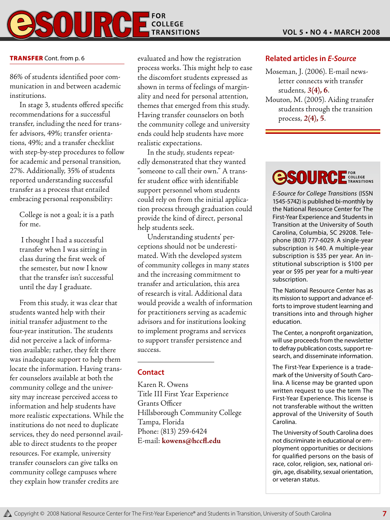

86% of students identified poor communication in and between academic institutions.

In stage 3, students offered specific recommendations for a successful transfer, including the need for transfer advisors, 49%; transfer orientations, 49%; and a transfer checklist with step-by-step procedures to follow for academic and personal transition, 27%. Additionally, 35% of students reported understanding successful transfer as a process that entailed embracing personal responsibility:

College is not a goal; it is a path for me.

 I thought I had a successful transfer when I was sitting in class during the first week of the semester, but now I know that the transfer isn't successful until the day I graduate.

From this study, it was clear that students wanted help with their initial transfer adjustment to the four-year institution. The students did not perceive a lack of information available; rather, they felt there was inadequate support to help them locate the information. Having transfer counselors available at both the community college and the university may increase perceived access to information and help students have more realistic expectations. While the institutions do not need to duplicate services, they do need personnel available to direct students to the proper resources. For example, university transfer counselors can give talks on community college campuses where they explain how transfer credits are

**TRANSFER** Cont. from p. 6 evaluated and how the registration process works. This might help to ease the discomfort students expressed as shown in terms of feelings of marginality and need for personal attention, themes that emerged from this study. Having transfer counselors on both the community college and university ends could help students have more realistic expectations.

> In the study, students repeatedly demonstrated that they wanted "someone to call their own." A transfer student office with identifiable support personnel whom students could rely on from the initial application process through graduation could provide the kind of direct, personal help students seek.

> Understanding students' perceptions should not be underestimated. With the developed system of community colleges in many states and the increasing commitment to transfer and articulation, this area of research is vital. Additional data would provide a wealth of information for practitioners serving as academic advisors and for institutions looking to implement programs and services to support transfer persistence and success.

### **Contact**

Karen R. Owens Title III First Year Experience Grants Officer Hillsborough Community College Tampa, Florida Phone: (813) 259-6424 E-mail: **kowens@hccfl.edu**

### **Related articles in** *E-Source*

Moseman, J. (2006). E-mail newsletter connects with transfer students, *3***(4), 6**.

Mouton, M. (2005). Aiding transfer students through the transition process, *2***(4), 5**.



*E-Source for College Transitions* (ISSN 1545-5742) is published bi-monthly by the National Resource Center for The First-Year Experience and Students in Transition at the University of South Carolina, Columbia, SC 29208. Telephone (803) 777-6029. A single-year subscription is \$40. A multiple-year subscription is \$35 per year. An institutional subscription is \$100 per year or \$95 per year for a multi-year subscription.

The National Resource Center has as its mission to support and advance efforts to improve student learning and transitions into and through higher education.

The Center, a nonprofit organization, will use proceeds from the newsletter to defray publication costs, support research, and disseminate information.

The First-Year Experience is a trademark of the University of South Carolina. A license may be granted upon written request to use the term The First-Year Experience. This license is not transferable without the written approval of the University of South Carolina.

The University of South Carolina does not discriminate in educational or employment opportunities or decisions for qualified persons on the basis of race, color, religion, sex, national origin, age, disability, sexual orientation, or veteran status.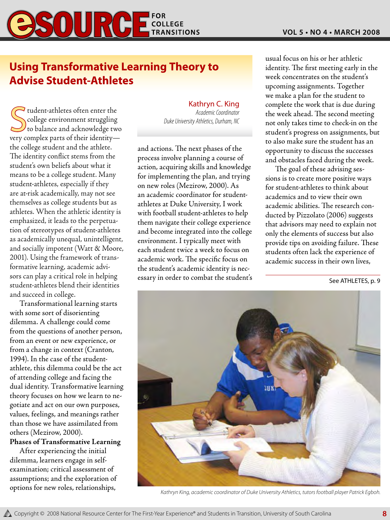

### **Using Transformative Learning Theory to Advise Student-Athletes**

**Action C. King**<br> *Academic Coordinator*<br> *Coordinator*<br> *Coordinator*<br> *Coordinator*<br> *Coordinator*<br> *Coordinator*<br> *Coordinator*<br> *Duke University Athletics, Durham, NC*<br> *New University Athletics, Durham, NC*  $\overline{\mathcal{L}}$  tudent-athletes often enter the college environment struggling very complex parts of their identity the college student and the athlete. The identity conflict stems from the student's own beliefs about what it means to be a college student. Many student-athletes, especially if they are at-risk academically, may not see themselves as college students but as athletes. When the athletic identity is emphasized, it leads to the perpetuation of stereotypes of student-athletes as academically unequal, unintelligent, and socially impotent (Watt & Moore, 2001). Using the framework of transformative learning, academic advisors can play a critical role in helping student-athletes blend their identities and succeed in college.

Transformational learning starts with some sort of disorienting dilemma. A challenge could come from the questions of another person, from an event or new experience, or from a change in context (Cranton, 1994). In the case of the studentathlete, this dilemma could be the act of attending college and facing the dual identity. Transformative learning theory focuses on how we learn to negotiate and act on our own purposes, values, feelings, and meanings rather than those we have assimilated from others (Mezirow, 2000).

### **Phases of Transformative Learning**

After experiencing the initial dilemma, learners engage in selfexamination; critical assessment of assumptions; and the exploration of options for new roles, relationships,

# Kathryn C. King

and actions. The next phases of the process involve planning a course of action, acquiring skills and knowledge for implementing the plan, and trying on new roles (Mezirow, 2000). As an academic coordinator for studentathletes at Duke University, I work with football student-athletes to help them navigate their college experience and become integrated into the college environment. I typically meet with each student twice a week to focus on academic work. The specific focus on the student's academic identity is necessary in order to combat the student's usual focus on his or her athletic identity. The first meeting early in the week concentrates on the student's upcoming assignments. Together we make a plan for the student to complete the work that is due during the week ahead. The second meeting not only takes time to check-in on the student's progress on assignments, but to also make sure the student has an opportunity to discuss the successes and obstacles faced during the week.

The goal of these advising sessions is to create more positive ways for student-athletes to think about academics and to view their own academic abilities. The research conducted by Pizzolato (2006) suggests that advisors may need to explain not only the elements of success but also provide tips on avoiding failure. These students often lack the experience of academic success in their own lives,

See ATHLETES, p. 9



*Kathryn King, academic coordinator of Duke University Athletics, tutors football player Patrick Egboh.*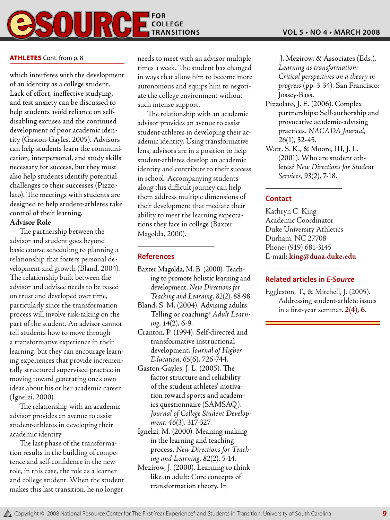

### ATHLETES Cont. from p. 8

which interferes with the development of an identity as a college student. Lack of effort, ineffective studying, and test anxiety can be discussed to help students avoid reliance on selfdisabling excuses and the continued development of poor academic identity (Gaston-Gayles, 2005). Advisors can help students learn the communication, interpersonal, and study skills necessary for success, but they must also help students identify potential challenges to their successes (Pizzolato). The meetings with students are designed to help student-athletes take control of their learning.

### **Advisor Role**

The partnership between the advisor and student goes beyond basic course scheduling to planning a relationship that fosters personal development and growth (Bland, 2004). The relationship built between the advisor and advisee needs to be based on trust and developed over time, particularly since the transformation process will involve risk-taking on the part of the student. An advisor cannot tell students how to move through a transformative experience in their learning, but they can encourage learning experiences that provide incrementally structured supervised practice in moving toward generating one's own ideas about his or her academic career (Ignelzi, 2000).

The relationship with an academic advisor provides an avenue to assist student-athletes in developing their academic identity.

The last phase of the transformation results in the building of competence and self-confidence in the new role, in this case, the role as a learner and college student. When the student makes this last transition, he no longer

needs to meet with an advisor multiple times a week. The student has changed in ways that allow him to become more autonomous and equips him to negotiate the college environment without such intense support.

The relationship with an academic advisor provides an avenue to assist student-athletes in developing their academic identity. Using transformative lens, advisors are in a position to help student-athletes develop an academic identity and contribute to their success in school. Accompanying students along this difficult journey can help them address multiple dimensions of their development that mediate their ability to meet the learning expectations they face in college (Baxter Magolda, 2000).

### **References**

- Baxter Magolda, M. B. (2000). Teaching to promote holistic learning and development. *New Directions for Teaching and Learning*, *82*(2), 88-98.
- Bland, S. M. (2004). Advising adults: Telling or coaching? *Adult Learning*, *14*(2), 6-9.
- Cranton, P. (1994). Self-directed and transformative instructional development. *Journal of Higher Education*, *65*(6), 726-744.
- Gaston-Gayles, J. L. (2005). The factor structure and reliability of the student athletes' motivation toward sports and academics questionnaire (SAMSAQ). *Journal of College Student Development*, *46*(3), 317-327.
- Ignelzi, M. (2000). Meaning-making in the learning and teaching process. *New Directions for Teaching and Learning*, *82*(2), 5-14.
- Mezirow, J. (2000). Learning to think like an adult: Core concepts of transformation theory. In

 J. Mezirow, & Associates (Eds.), *Learning as transformation: Critical perspectives on a theory in progress* (pp. 3-34). San Francisco: Jossey-Bass.

- Pizzolato, J. E. (2006). Complex partnerships: Self-authorship and provocative academic-advising practices. *NACADA Journal*, *26*(1), 32-45.
- Watt, S. K., & Moore, III, J. L. (2001). Who are student athletes? *New Directions for Student Services*, *93*(2), 7-18.

### **Contact**

Kathryn C. King Academic Coordinator Duke University Athletics Durham, NC 27708 Phone: (919) 681-3145 E-mail: **king@duaa.duke.edu**

### **Related articles in** *E-Source*

Eggleston, T., & Mitchell, J. (2005). Addressing student-athlete issues in a first-year seminar. *2***(4), 6**.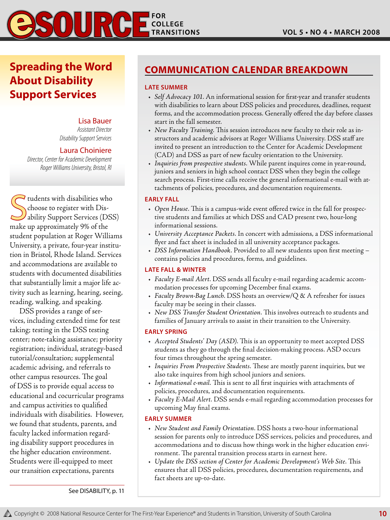**Spreading the Word About Disability Support Services**

> Lisa Bauer *Assistant Director Disability Support Services*

#### Laura Choiniere

 *Director, Center for Academic Development Roger Williams University, Bristol, RI*

Sudents with disabilities who<br>choose to register with Disability Support Services (DS<br>make up approximately 9% of the  $\blacktriangleright$  tudents with disabilities who choose to register with Disability Support Services (DSS) student population at Roger Williams University, a private, four-year institution in Bristol, Rhode Island. Services and accommodations are available to students with documented disabilities that substantially limit a major life activity such as learning, hearing, seeing, reading, walking, and speaking.

DSS provides a range of services, including extended time for test taking; testing in the DSS testing center; note-taking assistance; priority registration; individual, strategy-based tutorial/consultation; supplemental academic advising, and referrals to other campus resources. The goal of DSS is to provide equal access to educational and cocurricular programs and campus activities to qualified individuals with disabilities. However, we found that students, parents, and faculty lacked information regarding disability support procedures in the higher education environment. Students were ill-equipped to meet our transition expectations, parents

### **Communication Calendar Breakdown**

#### **Late Summer**

- • *Self Advocacy 101*. An informational session for first-year and transfer students with disabilities to learn about DSS policies and procedures, deadlines, request forms, and the accommodation process. Generally offered the day before classes start in the fall semester.
- • *New Faculty Training*. This session introduces new faculty to their role as instructors and academic advisors at Roger Williams University. DSS staff are invited to present an introduction to the Center for Academic Development (CAD) and DSS as part of new faculty orientation to the University.
- • *Inquiries from prospective students*. While parent inquires come in year-round, juniors and seniors in high school contact DSS when they begin the college search process. First-time calls receive the general informational e-mail with attachments of policies, procedures, and documentation requirements.

#### **Early Fall**

- • *Open House*. This is a campus-wide event offered twice in the fall for prospective students and families at which DSS and CAD present two, hour-long informational sessions.
- • *University Acceptance Packets*. In concert with admissions, a DSS informational flyer and fact sheet is included in all university acceptance packages.
- • *DSS Information Handbook*. Provided to all new students upon first meeting contains policies and procedures, forms, and guidelines.

#### **Late Fall & Winter**

- • *Faculty E-mail Alert*. DSS sends all faculty e-mail regarding academic accommodation processes for upcoming December final exams.
- • *Faculty Brown-Bag Lunch*. DSS hosts an overview/Q & A refresher for issues faculty may be seeing in their classes.
- • *New DSS Transfer Student Orientation*. This involves outreach to students and families of January arrivals to assist in their transition to the University.

#### **Early Spring**

- • *Accepted Students' Day (ASD)*. This is an opportunity to meet accepted DSS students as they go through the final decision-making process. ASD occurs four times throughout the spring semester.
- • *Inquiries From Prospective Students*. These are mostly parent inquiries, but we also take inquires from high school juniors and seniors.
- • *Informational e-mail*. This is sent to all first inquiries with attachments of policies, procedures, and documentation requirements.
- • *Faculty E-Mail Alert*. DSS sends e-mail regarding accommodation processes for upcoming May final exams.

#### **Early Summer**

- • *New Student and Family Orientation*. DSS hosts a two-hour informational session for parents only to introduce DSS services, policies and procedures, and accommodations and to discuss how things work in the higher education environment. The parental transition process starts in earnest here.
- • *Update the DSS section of Center for Academic Development's Web Site*. This ensures that all DSS policies, procedures, documentation requirements, and fact sheets are up-to-date.

See DISABILITY, p. 11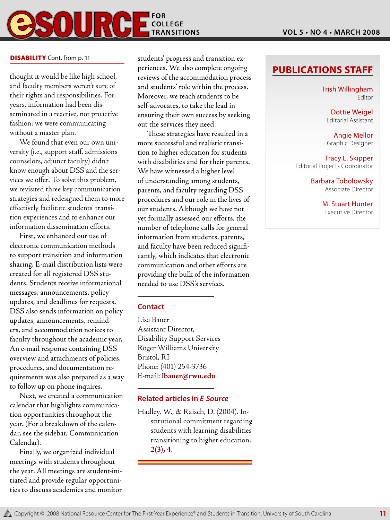

thought it would be like high school, and faculty members weren't sure of their rights and responsibilities. For years, information had been disseminated in a reactive, not proactive fashion; we were communicating without a master plan.

We found that even our own university (i.e., support staff, admissions counselors, adjunct faculty) didn't know enough about DSS and the services we offer. To solve this problem, we revisited three key communication strategies and redesigned them to more effectively facilitate students' transition experiences and to enhance our information dissemination efforts.

First, we enhanced our use of electronic communication methods to support transition and information sharing. E-mail distribution lists were created for all registered DSS students. Students receive informational messages, announcements, policy updates, and deadlines for requests. DSS also sends information on policy updates, announcements, reminders, and accommodation notices to faculty throughout the academic year. An e-mail response containing DSS overview and attachments of policies, procedures, and documentation requirements was also prepared as a way to follow up on phone inquires.

Next, we created a communication calendar that highlights communication opportunities throughout the year. (For a breakdown of the calendar, see the sidebar, Communication Calendar).

Finally, we organized individual meetings with students throughout the year. All meetings are student-initiated and provide regular opportunities to discuss academics and monitor

**DISABILITY** Cont. from p. 11 students' progress and transition experiences. We also complete ongoing reviews of the accommodation process and students' role within the process. Moreover, we teach students to be self-advocates, to take the lead in ensuring their own success by seeking out the services they need.

> These strategies have resulted in a more successful and realistic transition to higher education for students with disabilities and for their parents. We have witnessed a higher level of understanding among students, parents, and faculty regarding DSS procedures and our role in the lives of our students. Although we have not yet formally assessed our efforts, the number of telephone calls for general information from students, parents, and faculty have been reduced significantly, which indicates that electronic communication and other efforts are providing the bulk of the information needed to use DSS's services.

### **Contact**

Lisa Bauer Assistant Director, Disability Support Services Roger Williams University Bristol, RI Phone: (401) 254-3736 E-mail: **lbauer@rwu.edu**

### **Related articles in** *E-Source*

Hadley, W., & Raisch, D. (2004). Institutional commitment regarding students with learning disabilities transitioning to higher education, *2***(3), 4**.

### **Publications Staff**

Trish Willingham Editor

Dottie Weigel Editorial Assistant

Angie Mellor Graphic Designer

Tracy L. Skipper Editorial Projects Coordinator

> Barbara Tobolowsky Associate Director

> > M. Stuart Hunter Executive Director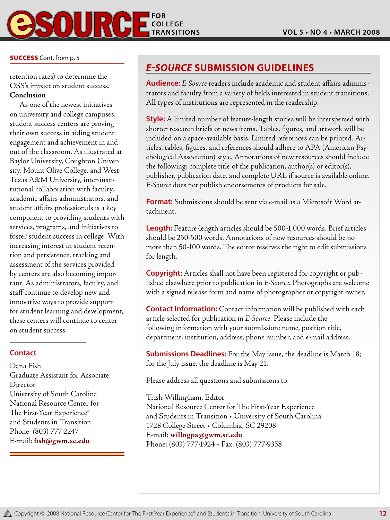

### **SUCCESS** Cont. from p. 5

retention rates) to determine the OSS's impact on student success. **Conclusion**

As one of the newest initiatives on university and college campuses, student success centers are proving their own success in aiding student engagement and achievement in and out of the classroom. As illustrated at Baylor University, Creighton University, Mount Olive College, and West Texas A&M University, inter-institutional collaboration with faculty, academic affairs administrators, and student affairs professionals is a key component to providing students with services, programs, and initiatives to foster student success in college. With increasing interest in student retention and persistence, tracking and assessment of the services provided by centers are also becoming important. As administrators, faculty, and staff continue to develop new and innovative ways to provide support for student learning and development, these centers will continue to center on student success.

### **Contact**

Dana Fish Graduate Assistant for Associate Director University of South Carolina National Resource Center for The First-Year Experience® and Students in Transition Phone: (803) 777-2247 E-mail: **fish@gwm.sc.edu**

### *E-Source* **Submission Guidelines**

**Audience:** *E-Source* readers include academic and student affairs administrators and faculty from a variety of fields interested in student transitions. All types of institutions are represented in the readership.

**Style:** A limited number of feature-length stories will be interspersed with shorter research briefs or news items. Tables, figures, and artwork will be included on a space-available basis. Limited references can be printed. Articles, tables, figures, and references should adhere to APA (American Psychological Association) style. Annotations of new resources should include the following: complete title of the publication, author(s) or editor(s), publisher, publication date, and complete URL if source is available online. *E-Source* does not publish endorsements of products for sale.

**Format:** Submissions should be sent via e-mail as a Microsoft Word attachment.

**Length:** Feature-length articles should be 500-1,000 words. Brief articles should be 250-500 words. Annotations of new resources should be no more than 50-100 words. The editor reserves the right to edit submissions for length.

**Copyright:** Articles shall not have been registered for copyright or published elsewhere prior to publication in *E-Source*. Photographs are welcome with a signed release form and name of photographer or copyright owner.

**Contact Information:** Contact information will be published with each article selected for publication in *E-Source*. Please include the following information with your submission: name, position title, department, institution, address, phone number, and e-mail address.

**Submissions Deadlines:** For the May issue, the deadline is March 18; for the July issue, the deadline is May 21.

Please address all questions and submissions to:

Trish Willingham, Editor National Resource Center for The First-Year Experience and Students in Transition • University of South Carolina 1728 College Street • Columbia, SC 29208 E-mail: **willngpa@gwm.sc.edu** Phone: (803) 777-1924 • Fax: (803) 777-9358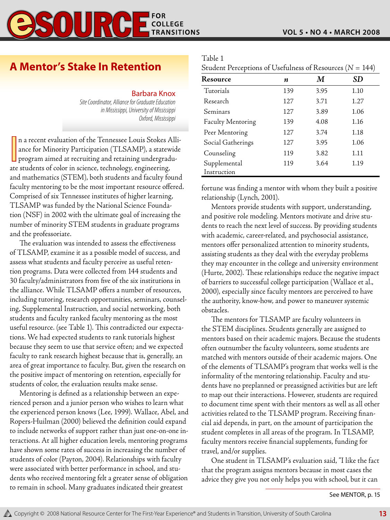### OUR COLLEGE **TRANSITIONS**

### **A Mentor's Stake In Retention**

### Barbara Knox

*Site Coordinator, Alliance for Graduate Education in Mississippi, University of Mississippi Oxford, Mississippi*

n a recent evaluation of the Tennessee Louis Stokes A ance for Minority Participation (TLSAMP), a statew program aimed at recruiting and retaining undergrad ate students of color in science, technology, engineering, n a recent evaluation of the Tennessee Louis Stokes Alliance for Minority Participation (TLSAMP), a statewide program aimed at recruiting and retaining undergraduand mathematics (STEM), both students and faculty found faculty mentoring to be the most important resource offered. Comprised of six Tennessee institutes of higher learning, TLSAMP was funded by the National Science Foundation (NSF) in 2002 with the ultimate goal of increasing the number of minority STEM students in graduate programs and the professoriate.

The evaluation was intended to assess the effectiveness of TLSAMP, examine it as a possible model of success, and assess what students and faculty perceive as useful retention programs. Data were collected from 144 students and 30 faculty/administrators from five of the six institutions in the alliance. While TLSAMP offers a number of resources, including tutoring, research opportunities, seminars, counseling, Supplemental Instruction, and social networking, both students and faculty ranked faculty mentoring as the most useful resource. (see Table 1). This contradicted our expectations. We had expected students to rank tutorials highest because they seem to use that service often; and we expected faculty to rank research highest because that is, generally, an area of great importance to faculty. But, given the research on the positive impact of mentoring on retention, especially for students of color, the evaluation results make sense.

Mentoring is defined as a relationship between an experienced person and a junior person who wishes to learn what the experienced person knows (Lee, 1999). Wallace, Abel, and Ropers-Huilman (2000) believed the definition could expand to include networks of support rather than just one-on-one interactions. At all higher education levels, mentoring programs have shown some rates of success in increasing the number of students of color (Payton, 2004). Relationships with faculty were associated with better performance in school, and students who received mentoring felt a greater sense of obligation to remain in school. Many graduates indicated their greatest

| anje |  |
|------|--|
|      |  |
|      |  |

| Student Perceptions of Usefulness of Resources ( $N = 144$ ) |  |  |  |
|--------------------------------------------------------------|--|--|--|
|--------------------------------------------------------------|--|--|--|

| Resource          | n   | M    | SD   |
|-------------------|-----|------|------|
| Tutorials         | 139 | 3.95 | 1.10 |
| Research          | 127 | 3.71 | 1.27 |
| Seminars          | 127 | 3.89 | 1.06 |
| Faculty Mentoring | 139 | 4.08 | 1.16 |
| Peer Mentoring    | 127 | 3.74 | 1.18 |
| Social Gatherings | 127 | 3.95 | 1.06 |
| Counseling        | 119 | 3.82 | 1.11 |
| Supplemental      | 119 | 3.64 | 1.19 |
| Instruction       |     |      |      |

fortune was finding a mentor with whom they built a positive relationship (Lynch, 2001).

Mentors provide students with support, understanding, and positive role modeling. Mentors motivate and drive students to reach the next level of success. By providing students with academic, career-related, and psychosocial assistance, mentors offer personalized attention to minority students, assisting students as they deal with the everyday problems they may encounter in the college and university environment (Hurte, 2002). These relationships reduce the negative impact of barriers to successful college participation (Wallace et al., 2000), especially since faculty mentors are perceived to have the authority, know-how, and power to maneuver systemic obstacles.

The mentors for TLSAMP are faculty volunteers in the STEM disciplines. Students generally are assigned to mentors based on their academic majors. Because the students often outnumber the faculty volunteers, some students are matched with mentors outside of their academic majors. One of the elements of TLSAMP's program that works well is the informality of the mentoring relationship. Faculty and students have no preplanned or preassigned activities but are left to map out their interactions. However, students are required to document time spent with their mentors as well as all other activities related to the TLSAMP program. Receiving financial aid depends, in part, on the amount of participation the student completes in all areas of the program. In TLSAMP, faculty mentors receive financial supplements, funding for travel, and/or supplies.

One student in TLSAMP's evaluation said, "I like the fact that the program assigns mentors because in most cases the advice they give you not only helps you with school, but it can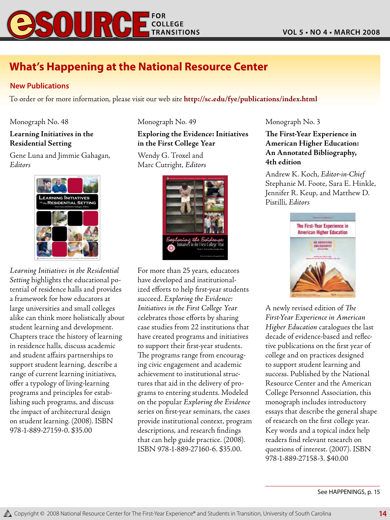

### **What's Happening at the National Resource Center**

### **New Publications**

To order or for more information, please visit our web site **http://sc.edu/fye/publications/index.html**

Monograph No. 48

### **Learning Initiatives in the Residential Setting**

Gene Luna and Jimmie Gahagan, *Editors*



*Learning Initiatives in the Residential Setting* highlights the educational potential of residence halls and provides a framework for how educators at large universities and small colleges alike can think more holistically about student learning and development. Chapters trace the history of learning in residence halls, discuss academic and student affairs partnerships to support student learning, describe a range of current learning initiatives, offer a typology of living-learning programs and principles for establishing such programs, and discuss the impact of architectural design on student learning. (2008). ISBN 978-1-889-27159-0. \$35.00

Monograph No. 49

### **Exploring the Evidence: Initiatives in the First College Year**

Wendy G. Troxel and Marc Cutright, *Editors*



For more than 25 years, educators have developed and institutionalized efforts to help first-year students succeed. *Exploring the Evidence: Initiatives in the First College Year* celebrates those efforts by sharing case studies from 22 institutions that have created programs and initiatives to support their first-year students. The programs range from encouraging civic engagement and academic achievement to institutional structures that aid in the delivery of programs to entering students. Modeled on the popular *Exploring the Evidence* series on first-year seminars, the cases provide institutional context, program descriptions, and research findings that can help guide practice. (2008). ISBN 978-1-889-27160-6. \$35.00.

Monograph No. 3

**The First-Year Experience in American Higher Education: An Annotated Bibliography, 4th edition**

Andrew K. Koch, *Editor-in-Chief* Stephanie M. Foote, Sara E. Hinkle, Jennifer R. Keup, and Matthew D. Pistilli, *Editors*



A newly revised edition of *The First-Year Experience in American Higher Education* catalogues the last decade of evidence-based and reflective publications on the first year of college and on practices designed to support student learning and success. Published by the National Resource Center and the American College Personnel Association, this monograph includes introductory essays that describe the general shape of research on the first college year. Key words and a topical index help readers find relevant research on questions of interest. (2007). ISBN 978-1-889-27158-3. \$40.00